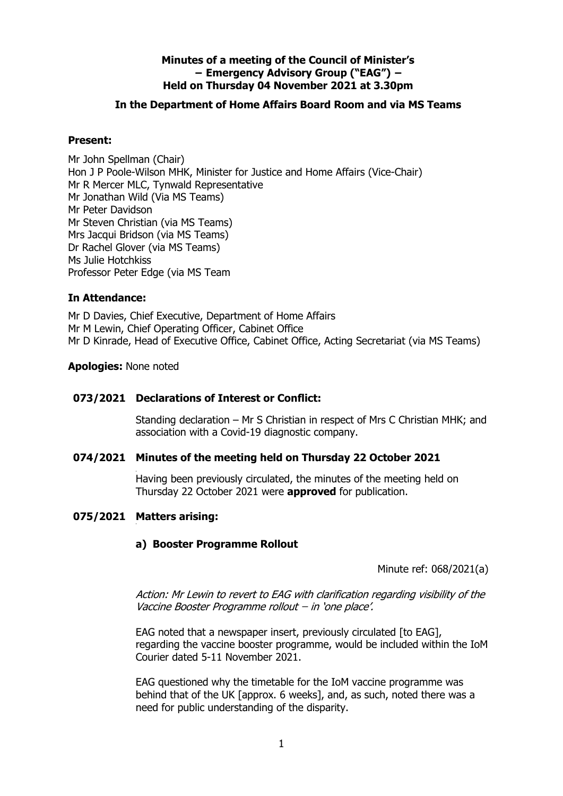## **Minutes of a meeting of the Council of Minister's − Emergency Advisory Group ("EAG") − Held on Thursday 04 November 2021 at 3.30pm**

### **In the Department of Home Affairs Board Room and via MS Teams**

#### **Present:**

Mr John Spellman (Chair) Hon J P Poole-Wilson MHK, Minister for Justice and Home Affairs (Vice-Chair) Mr R Mercer MLC, Tynwald Representative Mr Jonathan Wild (Via MS Teams) Mr Peter Davidson Mr Steven Christian (via MS Teams) Mrs Jacqui Bridson (via MS Teams) Dr Rachel Glover (via MS Teams) Ms Julie Hotchkiss Professor Peter Edge (via MS Team

#### **In Attendance:**

Mr D Davies, Chief Executive, Department of Home Affairs Mr M Lewin, Chief Operating Officer, Cabinet Office Mr D Kinrade, Head of Executive Office, Cabinet Office, Acting Secretariat (via MS Teams)

#### **Apologies:** None noted

### **073/2021 Declarations of Interest or Conflict:**

Standing declaration – Mr S Christian in respect of Mrs C Christian MHK; and association with a Covid-19 diagnostic company.

#### **074/2021 Minutes of the meeting held on Thursday 22 October 2021**

Having been previously circulated, the minutes of the meeting held on Thursday 22 October 2021 were **approved** for publication.

## **075/2021 Matters arising:**

## **a) Booster Programme Rollout**

Minute ref: 068/2021(a)

Action: Mr Lewin to revert to EAG with clarification regarding visibility of the Vaccine Booster Programme rollout ̶ in 'one place'.

EAG noted that a newspaper insert, previously circulated [to EAG], regarding the vaccine booster programme, would be included within the IoM Courier dated 5-11 November 2021.

EAG questioned why the timetable for the IoM vaccine programme was behind that of the UK [approx. 6 weeks], and, as such, noted there was a need for public understanding of the disparity.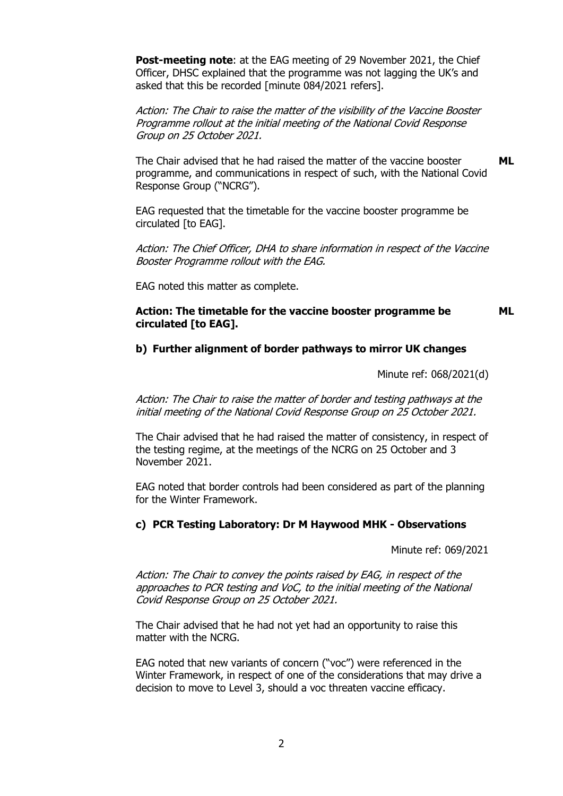**Post-meeting note**: at the EAG meeting of 29 November 2021, the Chief Officer, DHSC explained that the programme was not lagging the UK's and asked that this be recorded [minute 084/2021 refers].

Action: The Chair to raise the matter of the visibility of the Vaccine Booster Programme rollout at the initial meeting of the National Covid Response Group on 25 October 2021.

The Chair advised that he had raised the matter of the vaccine booster programme, and communications in respect of such, with the National Covid Response Group ("NCRG"). **ML**

EAG requested that the timetable for the vaccine booster programme be circulated [to EAG].

Action: The Chief Officer, DHA to share information in respect of the Vaccine Booster Programme rollout with the EAG.

EAG noted this matter as complete.

#### **Action: The timetable for the vaccine booster programme be circulated [to EAG]. ML**

#### **b) Further alignment of border pathways to mirror UK changes**

Minute ref: 068/2021(d)

Action: The Chair to raise the matter of border and testing pathways at the initial meeting of the National Covid Response Group on 25 October 2021.

The Chair advised that he had raised the matter of consistency, in respect of the testing regime, at the meetings of the NCRG on 25 October and 3 November 2021.

EAG noted that border controls had been considered as part of the planning for the Winter Framework.

#### **c) PCR Testing Laboratory: Dr M Haywood MHK - Observations**

Minute ref: 069/2021

Action: The Chair to convey the points raised by EAG, in respect of the approaches to PCR testing and VoC, to the initial meeting of the National Covid Response Group on 25 October 2021.

The Chair advised that he had not yet had an opportunity to raise this matter with the NCRG.

EAG noted that new variants of concern ("voc") were referenced in the Winter Framework, in respect of one of the considerations that may drive a decision to move to Level 3, should a voc threaten vaccine efficacy.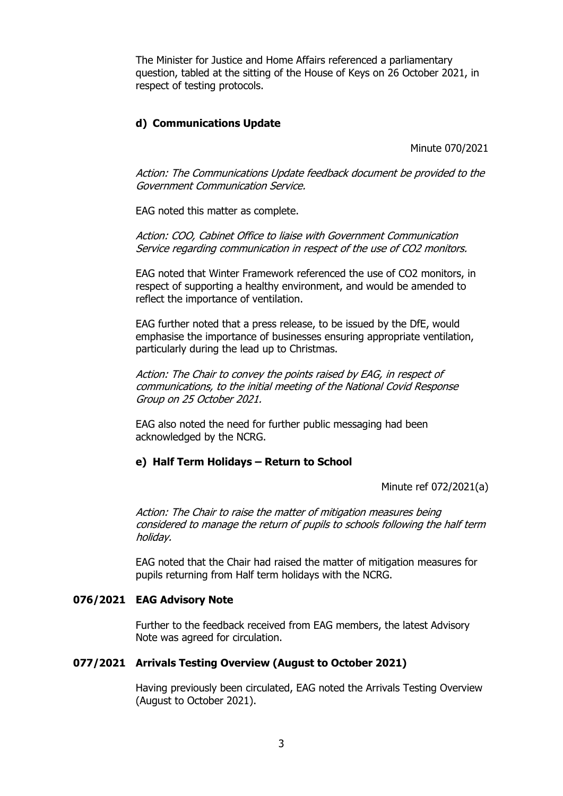The Minister for Justice and Home Affairs referenced a parliamentary question, tabled at the sitting of the House of Keys on 26 October 2021, in respect of testing protocols.

## **d) Communications Update**

Minute 070/2021

Action: The Communications Update feedback document be provided to the Government Communication Service.

EAG noted this matter as complete.

Action: COO, Cabinet Office to liaise with Government Communication Service regarding communication in respect of the use of CO2 monitors.

EAG noted that Winter Framework referenced the use of CO2 monitors, in respect of supporting a healthy environment, and would be amended to reflect the importance of ventilation.

EAG further noted that a press release, to be issued by the DfE, would emphasise the importance of businesses ensuring appropriate ventilation, particularly during the lead up to Christmas.

Action: The Chair to convey the points raised by EAG, in respect of communications, to the initial meeting of the National Covid Response Group on 25 October 2021.

EAG also noted the need for further public messaging had been acknowledged by the NCRG.

#### **e) Half Term Holidays – Return to School**

Minute ref 072/2021(a)

Action: The Chair to raise the matter of mitigation measures being considered to manage the return of pupils to schools following the half term holiday.

EAG noted that the Chair had raised the matter of mitigation measures for pupils returning from Half term holidays with the NCRG.

#### **076/2021 EAG Advisory Note**

Further to the feedback received from EAG members, the latest Advisory Note was agreed for circulation.

#### **077/2021 Arrivals Testing Overview (August to October 2021)**

Having previously been circulated, EAG noted the Arrivals Testing Overview (August to October 2021).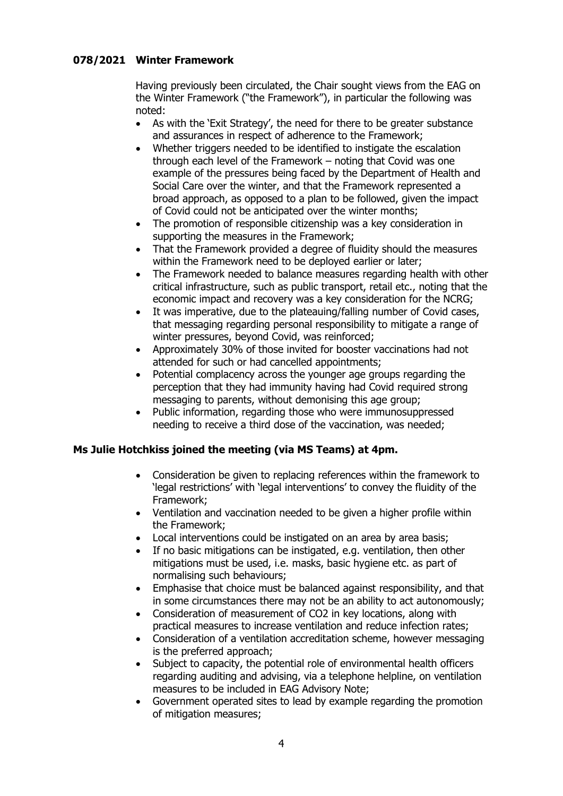## **078/2021 Winter Framework**

Having previously been circulated, the Chair sought views from the EAG on the Winter Framework ("the Framework"), in particular the following was noted:

- As with the 'Exit Strategy', the need for there to be greater substance and assurances in respect of adherence to the Framework;
- Whether triggers needed to be identified to instigate the escalation through each level of the Framework – noting that Covid was one example of the pressures being faced by the Department of Health and Social Care over the winter, and that the Framework represented a broad approach, as opposed to a plan to be followed, given the impact of Covid could not be anticipated over the winter months;
- The promotion of responsible citizenship was a key consideration in supporting the measures in the Framework;
- That the Framework provided a degree of fluidity should the measures within the Framework need to be deployed earlier or later;
- The Framework needed to balance measures regarding health with other critical infrastructure, such as public transport, retail etc., noting that the economic impact and recovery was a key consideration for the NCRG;
- It was imperative, due to the plateauing/falling number of Covid cases, that messaging regarding personal responsibility to mitigate a range of winter pressures, beyond Covid, was reinforced;
- Approximately 30% of those invited for booster vaccinations had not attended for such or had cancelled appointments;
- Potential complacency across the younger age groups regarding the perception that they had immunity having had Covid required strong messaging to parents, without demonising this age group;
- Public information, regarding those who were immunosuppressed needing to receive a third dose of the vaccination, was needed;

## **Ms Julie Hotchkiss joined the meeting (via MS Teams) at 4pm.**

- Consideration be given to replacing references within the framework to 'legal restrictions' with 'legal interventions' to convey the fluidity of the Framework;
- Ventilation and vaccination needed to be given a higher profile within the Framework;
- Local interventions could be instigated on an area by area basis;
- If no basic mitigations can be instigated, e.g. ventilation, then other mitigations must be used, i.e. masks, basic hygiene etc. as part of normalising such behaviours;
- Emphasise that choice must be balanced against responsibility, and that in some circumstances there may not be an ability to act autonomously;
- Consideration of measurement of CO2 in key locations, along with practical measures to increase ventilation and reduce infection rates;
- Consideration of a ventilation accreditation scheme, however messaging is the preferred approach;
- Subject to capacity, the potential role of environmental health officers regarding auditing and advising, via a telephone helpline, on ventilation measures to be included in EAG Advisory Note;
- Government operated sites to lead by example regarding the promotion of mitigation measures;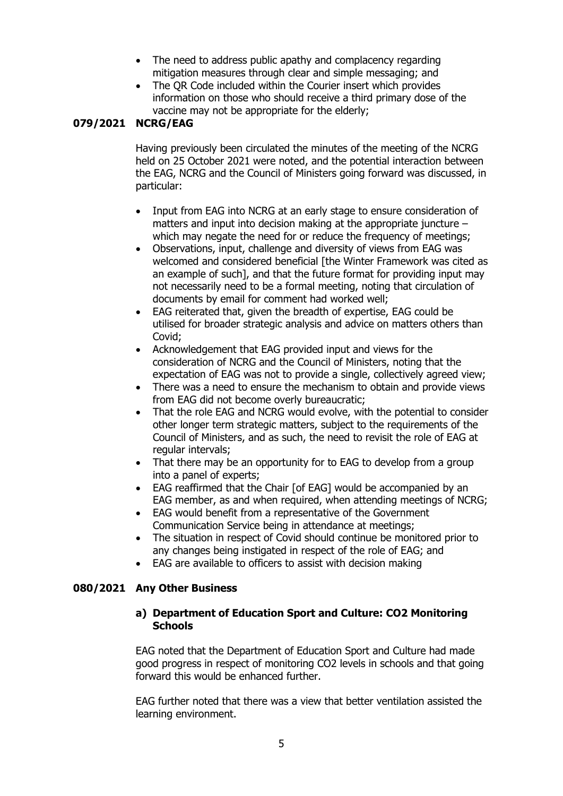- The need to address public apathy and complacency regarding mitigation measures through clear and simple messaging; and
- The QR Code included within the Courier insert which provides information on those who should receive a third primary dose of the vaccine may not be appropriate for the elderly;

# **079/2021 NCRG/EAG**

Having previously been circulated the minutes of the meeting of the NCRG held on 25 October 2021 were noted, and the potential interaction between the EAG, NCRG and the Council of Ministers going forward was discussed, in particular:

- Input from EAG into NCRG at an early stage to ensure consideration of matters and input into decision making at the appropriate juncture – which may negate the need for or reduce the frequency of meetings;
- Observations, input, challenge and diversity of views from EAG was welcomed and considered beneficial [the Winter Framework was cited as an example of such], and that the future format for providing input may not necessarily need to be a formal meeting, noting that circulation of documents by email for comment had worked well;
- EAG reiterated that, given the breadth of expertise, EAG could be utilised for broader strategic analysis and advice on matters others than Covid;
- Acknowledgement that EAG provided input and views for the consideration of NCRG and the Council of Ministers, noting that the expectation of EAG was not to provide a single, collectively agreed view;
- There was a need to ensure the mechanism to obtain and provide views from EAG did not become overly bureaucratic;
- That the role EAG and NCRG would evolve, with the potential to consider other longer term strategic matters, subject to the requirements of the Council of Ministers, and as such, the need to revisit the role of EAG at regular intervals;
- That there may be an opportunity for to EAG to develop from a group into a panel of experts;
- EAG reaffirmed that the Chair [of EAG] would be accompanied by an EAG member, as and when required, when attending meetings of NCRG;
- EAG would benefit from a representative of the Government Communication Service being in attendance at meetings;
- The situation in respect of Covid should continue be monitored prior to any changes being instigated in respect of the role of EAG; and
- EAG are available to officers to assist with decision making

## **080/2021 Any Other Business**

#### **a) Department of Education Sport and Culture: CO2 Monitoring Schools**

EAG noted that the Department of Education Sport and Culture had made good progress in respect of monitoring CO2 levels in schools and that going forward this would be enhanced further.

EAG further noted that there was a view that better ventilation assisted the learning environment.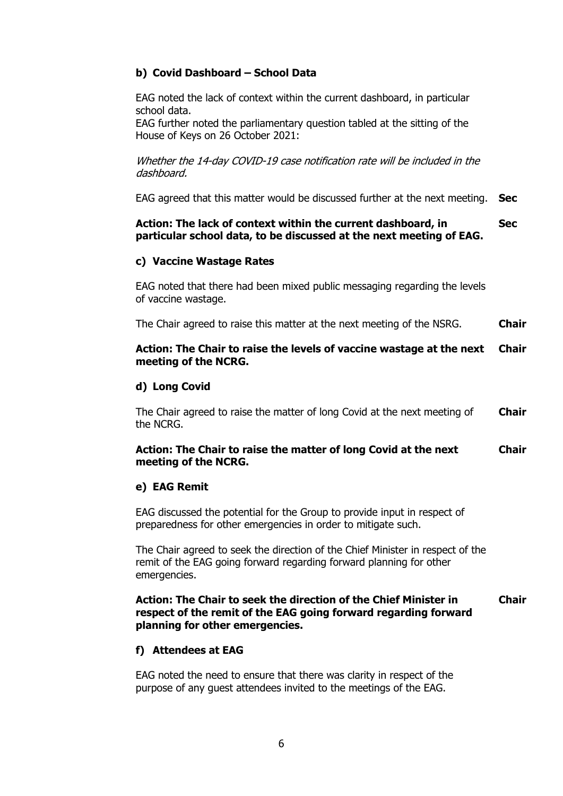# **b) Covid Dashboard – School Data**

EAG noted the lack of context within the current dashboard, in particular school data.

EAG further noted the parliamentary question tabled at the sitting of the House of Keys on 26 October 2021:

Whether the 14-day COVID-19 case notification rate will be included in the dashboard.

EAG agreed that this matter would be discussed further at the next meeting. **Sec**

#### **Action: The lack of context within the current dashboard, in particular school data, to be discussed at the next meeting of EAG. Sec**

## **c) Vaccine Wastage Rates**

EAG noted that there had been mixed public messaging regarding the levels of vaccine wastage.

The Chair agreed to raise this matter at the next meeting of the NSRG. **Chair**

#### **Action: The Chair to raise the levels of vaccine wastage at the next meeting of the NCRG. Chair**

# **d) Long Covid**

The Chair agreed to raise the matter of long Covid at the next meeting of the NCRG. **Chair**

#### **Action: The Chair to raise the matter of long Covid at the next meeting of the NCRG. Chair**

## **e) EAG Remit**

EAG discussed the potential for the Group to provide input in respect of preparedness for other emergencies in order to mitigate such.

The Chair agreed to seek the direction of the Chief Minister in respect of the remit of the EAG going forward regarding forward planning for other emergencies.

#### **Action: The Chair to seek the direction of the Chief Minister in respect of the remit of the EAG going forward regarding forward planning for other emergencies. Chair**

# **f) Attendees at EAG**

EAG noted the need to ensure that there was clarity in respect of the purpose of any guest attendees invited to the meetings of the EAG.